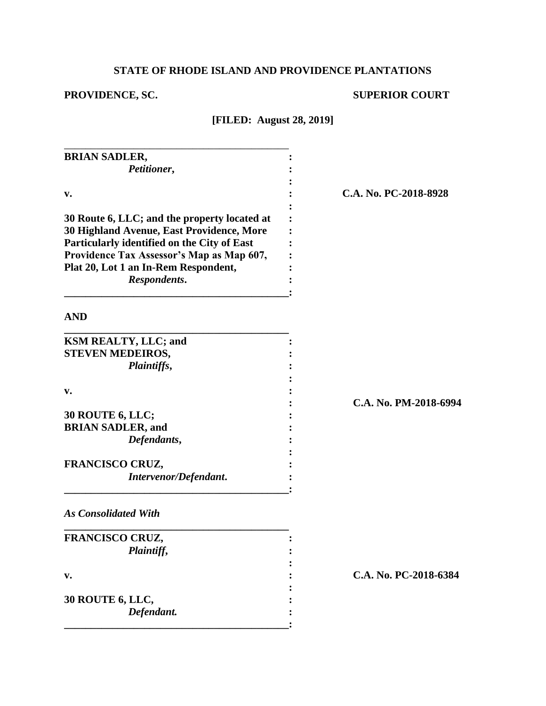# **STATE OF RHODE ISLAND AND PROVIDENCE PLANTATIONS**

# **PROVIDENCE, SC. SUPERIOR COURT**

**[FILED: August 28, 2019]**

| <b>BRIAN SADLER,</b>                                                   |  |
|------------------------------------------------------------------------|--|
| Petitioner,                                                            |  |
|                                                                        |  |
| v.                                                                     |  |
|                                                                        |  |
| 30 Route 6, LLC; and the property located at                           |  |
| 30 Highland Avenue, East Providence, More                              |  |
| Particularly identified on the City of East                            |  |
| Providence Tax Assessor's Map as Map 607,                              |  |
| Plat 20, Lot 1 an In-Rem Respondent,                                   |  |
| Respondents.                                                           |  |
|                                                                        |  |
|                                                                        |  |
|                                                                        |  |
| <b>AND</b><br><b>KSM REALTY, LLC; and</b>                              |  |
| <b>STEVEN MEDEIROS,</b>                                                |  |
| Plaintiffs,                                                            |  |
|                                                                        |  |
| v.                                                                     |  |
|                                                                        |  |
|                                                                        |  |
|                                                                        |  |
| Defendants,                                                            |  |
| <b>30 ROUTE 6, LLC;</b><br><b>BRIAN SADLER, and</b><br>FRANCISCO CRUZ, |  |

*As Consolidated With*

| FRANCISCO CRUZ,         |  |
|-------------------------|--|
| Plaintiff,              |  |
|                         |  |
| $V_{\bullet}$           |  |
|                         |  |
| <b>30 ROUTE 6, LLC,</b> |  |
| Defendant.              |  |
|                         |  |

**v. : C.A. No. PC-2018-8928**

**: C.A. No. PM-2018-6994**

**v. : C.A. No. PC-2018-6384**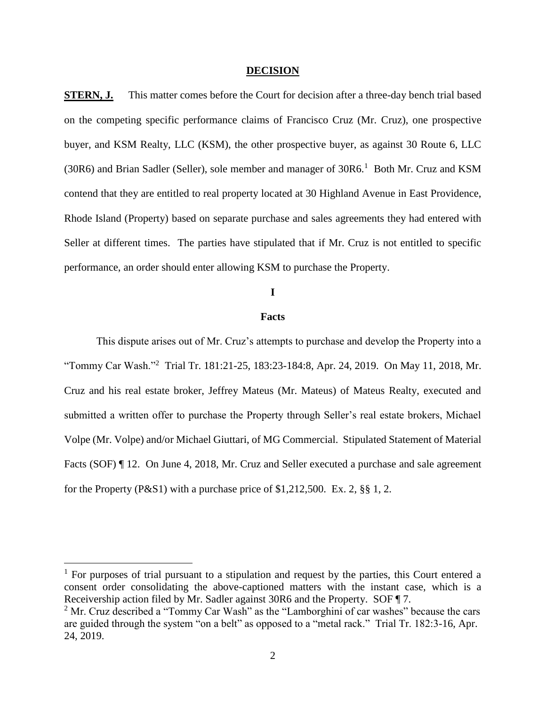#### **DECISION**

**STERN, J.** This matter comes before the Court for decision after a three-day bench trial based on the competing specific performance claims of Francisco Cruz (Mr. Cruz), one prospective buyer, and KSM Realty, LLC (KSM), the other prospective buyer, as against 30 Route 6, LLC (30R6) and Brian Sadler (Seller), sole member and manager of  $30R6$ <sup>1</sup> Both Mr. Cruz and KSM contend that they are entitled to real property located at 30 Highland Avenue in East Providence, Rhode Island (Property) based on separate purchase and sales agreements they had entered with Seller at different times. The parties have stipulated that if Mr. Cruz is not entitled to specific performance, an order should enter allowing KSM to purchase the Property.

# **I**

#### **Facts**

This dispute arises out of Mr. Cruz's attempts to purchase and develop the Property into a "Tommy Car Wash."<sup>2</sup> Trial Tr. 181:21-25, 183:23-184:8, Apr. 24, 2019. On May 11, 2018, Mr. Cruz and his real estate broker, Jeffrey Mateus (Mr. Mateus) of Mateus Realty, executed and submitted a written offer to purchase the Property through Seller's real estate brokers, Michael Volpe (Mr. Volpe) and/or Michael Giuttari, of MG Commercial. Stipulated Statement of Material Facts (SOF) ¶ 12. On June 4, 2018, Mr. Cruz and Seller executed a purchase and sale agreement for the Property (P&S1) with a purchase price of  $$1,212,500$ . Ex. 2,  $§$  $§$  1, 2.

 $1$  For purposes of trial pursuant to a stipulation and request by the parties, this Court entered a consent order consolidating the above-captioned matters with the instant case, which is a Receivership action filed by Mr. Sadler against 30R6 and the Property. SOF ¶ 7.

<sup>&</sup>lt;sup>2</sup> Mr. Cruz described a "Tommy Car Wash" as the "Lamborghini of car washes" because the cars are guided through the system "on a belt" as opposed to a "metal rack." Trial Tr. 182:3-16, Apr. 24, 2019.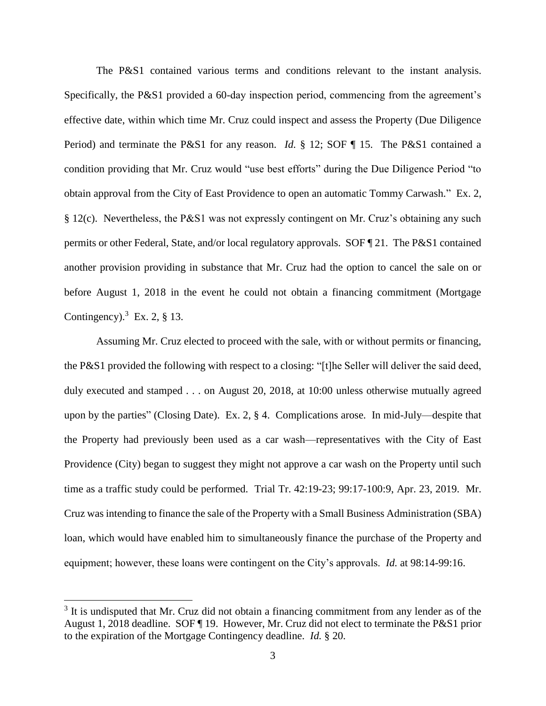The P&S1 contained various terms and conditions relevant to the instant analysis. Specifically, the P&S1 provided a 60-day inspection period, commencing from the agreement's effective date, within which time Mr. Cruz could inspect and assess the Property (Due Diligence Period) and terminate the P&S1 for any reason. *Id.* § 12; SOF ¶ 15. The P&S1 contained a condition providing that Mr. Cruz would "use best efforts" during the Due Diligence Period "to obtain approval from the City of East Providence to open an automatic Tommy Carwash." Ex. 2, § 12(c). Nevertheless, the P&S1 was not expressly contingent on Mr. Cruz's obtaining any such permits or other Federal, State, and/or local regulatory approvals. SOF ¶ 21. The P&S1 contained another provision providing in substance that Mr. Cruz had the option to cancel the sale on or before August 1, 2018 in the event he could not obtain a financing commitment (Mortgage Contingency). $3$  Ex. 2, § 13.

Assuming Mr. Cruz elected to proceed with the sale, with or without permits or financing, the P&S1 provided the following with respect to a closing: "[t]he Seller will deliver the said deed, duly executed and stamped . . . on August 20, 2018, at 10:00 unless otherwise mutually agreed upon by the parties" (Closing Date). Ex. 2, § 4. Complications arose. In mid-July—despite that the Property had previously been used as a car wash—representatives with the City of East Providence (City) began to suggest they might not approve a car wash on the Property until such time as a traffic study could be performed. Trial Tr. 42:19-23; 99:17-100:9, Apr. 23, 2019. Mr. Cruz was intending to finance the sale of the Property with a Small Business Administration (SBA) loan, which would have enabled him to simultaneously finance the purchase of the Property and equipment; however, these loans were contingent on the City's approvals. *Id.* at 98:14-99:16.

 $3$  It is undisputed that Mr. Cruz did not obtain a financing commitment from any lender as of the August 1, 2018 deadline. SOF ¶ 19. However, Mr. Cruz did not elect to terminate the P&S1 prior to the expiration of the Mortgage Contingency deadline. *Id.* § 20.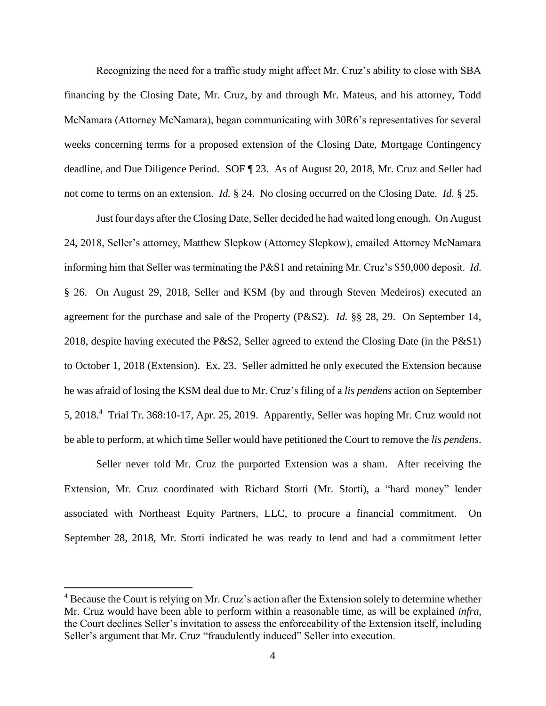Recognizing the need for a traffic study might affect Mr. Cruz's ability to close with SBA financing by the Closing Date, Mr. Cruz, by and through Mr. Mateus, and his attorney, Todd McNamara (Attorney McNamara), began communicating with 30R6's representatives for several weeks concerning terms for a proposed extension of the Closing Date, Mortgage Contingency deadline, and Due Diligence Period. SOF ¶ 23. As of August 20, 2018, Mr. Cruz and Seller had not come to terms on an extension. *Id.* § 24. No closing occurred on the Closing Date. *Id.* § 25.

Just four days after the Closing Date, Seller decided he had waited long enough. On August 24, 2018, Seller's attorney, Matthew Slepkow (Attorney Slepkow), emailed Attorney McNamara informing him that Seller was terminating the P&S1 and retaining Mr. Cruz's \$50,000 deposit. *Id.* § 26. On August 29, 2018, Seller and KSM (by and through Steven Medeiros) executed an agreement for the purchase and sale of the Property (P&S2). *Id.* §§ 28, 29. On September 14, 2018, despite having executed the P&S2, Seller agreed to extend the Closing Date (in the P&S1) to October 1, 2018 (Extension). Ex. 23. Seller admitted he only executed the Extension because he was afraid of losing the KSM deal due to Mr. Cruz's filing of a *lis pendens* action on September 5, 2018.<sup>4</sup> Trial Tr. 368:10-17, Apr. 25, 2019. Apparently, Seller was hoping Mr. Cruz would not be able to perform, at which time Seller would have petitioned the Court to remove the *lis pendens*.

Seller never told Mr. Cruz the purported Extension was a sham. After receiving the Extension, Mr. Cruz coordinated with Richard Storti (Mr. Storti), a "hard money" lender associated with Northeast Equity Partners, LLC, to procure a financial commitment. On September 28, 2018, Mr. Storti indicated he was ready to lend and had a commitment letter

<sup>&</sup>lt;sup>4</sup> Because the Court is relying on Mr. Cruz's action after the Extension solely to determine whether Mr. Cruz would have been able to perform within a reasonable time, as will be explained *infra*, the Court declines Seller's invitation to assess the enforceability of the Extension itself, including Seller's argument that Mr. Cruz "fraudulently induced" Seller into execution.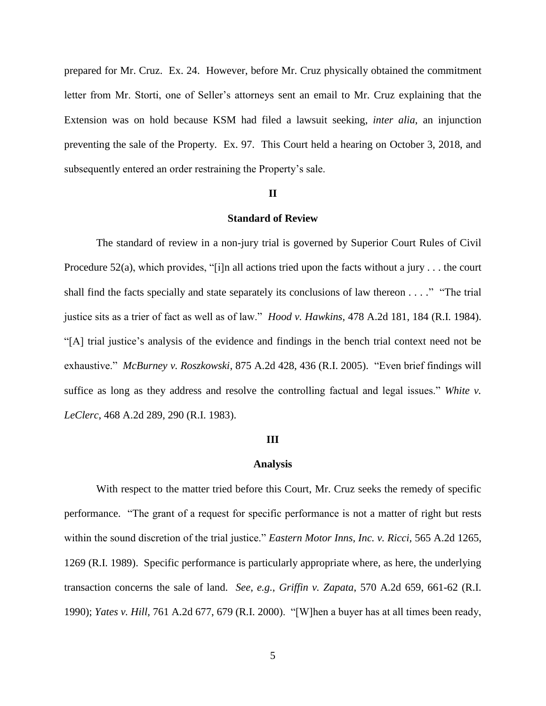prepared for Mr. Cruz. Ex. 24. However, before Mr. Cruz physically obtained the commitment letter from Mr. Storti, one of Seller's attorneys sent an email to Mr. Cruz explaining that the Extension was on hold because KSM had filed a lawsuit seeking, *inter alia*, an injunction preventing the sale of the Property. Ex. 97. This Court held a hearing on October 3, 2018, and subsequently entered an order restraining the Property's sale.

#### **II**

## **Standard of Review**

The standard of review in a non-jury trial is governed by Superior Court Rules of Civil Procedure 52(a), which provides, "[i]n all actions tried upon the facts without a jury  $\dots$  the court shall find the facts specially and state separately its conclusions of law thereon . . . ." "The trial justice sits as a trier of fact as well as of law." *Hood v. Hawkins*, 478 A.2d 181, 184 (R.I. 1984). "[A] trial justice's analysis of the evidence and findings in the bench trial context need not be exhaustive." *McBurney v. Roszkowski*, 875 A.2d 428, 436 (R.I. 2005). "Even brief findings will suffice as long as they address and resolve the controlling factual and legal issues." *White v. LeClerc*, 468 A.2d 289, 290 (R.I. 1983).

#### **III**

#### **Analysis**

With respect to the matter tried before this Court, Mr. Cruz seeks the remedy of specific performance. "The grant of a request for specific performance is not a matter of right but rests within the sound discretion of the trial justice." *Eastern Motor Inns, Inc. v. Ricci,* 565 A.2d 1265, 1269 (R.I. 1989). Specific performance is particularly appropriate where, as here, the underlying transaction concerns the sale of land. *See*, *e.g.*, *Griffin v. Zapata*, 570 A.2d 659, 661-62 (R.I. 1990); *Yates v. Hill,* 761 A.2d 677, 679 (R.I. 2000). "[W]hen a buyer has at all times been ready,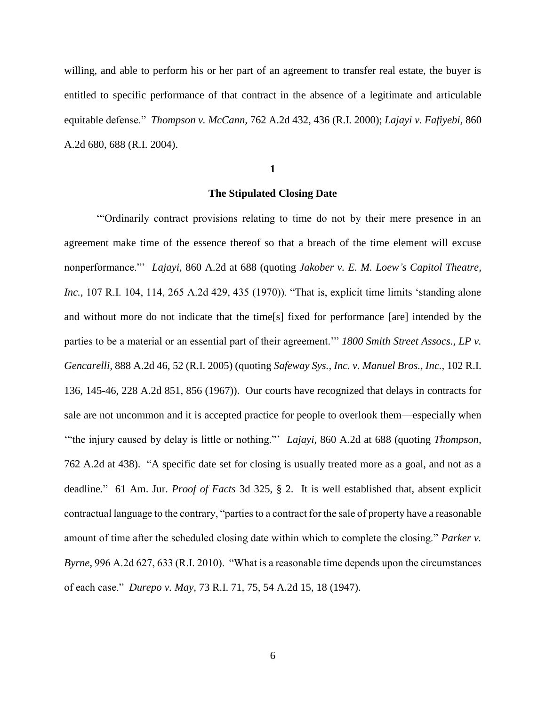willing, and able to perform his or her part of an agreement to transfer real estate, the buyer is entitled to specific performance of that contract in the absence of a legitimate and articulable equitable defense." *Thompson v. McCann,* 762 A.2d 432, 436 (R.I. 2000); *Lajayi v. Fafiyebi,* 860 A.2d 680, 688 (R.I. 2004).

**1**

## **The Stipulated Closing Date**

'"Ordinarily contract provisions relating to time do not by their mere presence in an agreement make time of the essence thereof so that a breach of the time element will excuse nonperformance."' *Lajayi,* 860 A.2d at 688 (quoting *Jakober v. E. M. Loew's Capitol Theatre, Inc.,* 107 R.I. 104, 114, 265 A.2d 429, 435 (1970)). "That is, explicit time limits 'standing alone and without more do not indicate that the time[s] fixed for performance [are] intended by the parties to be a material or an essential part of their agreement.'" *1800 Smith Street Assocs., LP v. Gencarelli,* 888 A.2d 46, 52 (R.I. 2005) (quoting *Safeway Sys., Inc. v. Manuel Bros., Inc.,* 102 R.I. 136, 145-46, 228 A.2d 851, 856 (1967)). Our courts have recognized that delays in contracts for sale are not uncommon and it is accepted practice for people to overlook them—especially when '"the injury caused by delay is little or nothing."' *Lajayi,* 860 A.2d at 688 (quoting *Thompson,* 762 A.2d at 438). "A specific date set for closing is usually treated more as a goal, and not as a deadline." 61 Am. Jur. *Proof of Facts* 3d 325, § 2. It is well established that, absent explicit contractual language to the contrary, "parties to a contract for the sale of property have a reasonable amount of time after the scheduled closing date within which to complete the closing." *Parker v. Byrne,* 996 A.2d 627, 633 (R.I. 2010). "What is a reasonable time depends upon the circumstances of each case." *Durepo v. May,* 73 R.I. 71, 75, 54 A.2d 15, 18 (1947).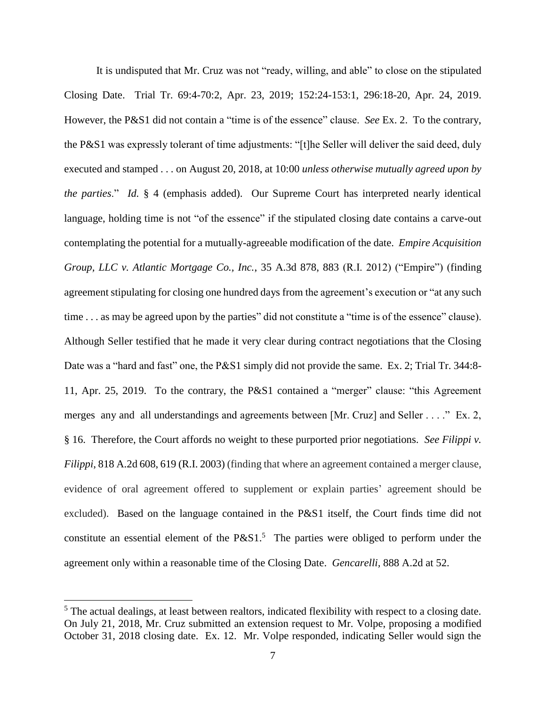It is undisputed that Mr. Cruz was not "ready, willing, and able" to close on the stipulated Closing Date. Trial Tr. 69:4-70:2, Apr. 23, 2019; 152:24-153:1, 296:18-20, Apr. 24, 2019. However, the P&S1 did not contain a "time is of the essence" clause. *See* Ex. 2. To the contrary, the P&S1 was expressly tolerant of time adjustments: "[t]he Seller will deliver the said deed, duly executed and stamped . . . on August 20, 2018, at 10:00 *unless otherwise mutually agreed upon by the parties*." *Id.* § 4 (emphasis added). Our Supreme Court has interpreted nearly identical language, holding time is not "of the essence" if the stipulated closing date contains a carve-out contemplating the potential for a mutually-agreeable modification of the date. *Empire Acquisition Group, LLC v. Atlantic Mortgage Co., Inc.*, 35 A.3d 878, 883 (R.I. 2012) ("Empire") (finding agreement stipulating for closing one hundred days from the agreement's execution or "at any such time . . . as may be agreed upon by the parties" did not constitute a "time is of the essence" clause). Although Seller testified that he made it very clear during contract negotiations that the Closing Date was a "hard and fast" one, the P&S1 simply did not provide the same. Ex. 2; Trial Tr. 344:8-11, Apr. 25, 2019. To the contrary, the P&S1 contained a "merger" clause: "this Agreement merges any and all understandings and agreements between [Mr. Cruz] and Seller . . . ." Ex. 2, § 16. Therefore, the Court affords no weight to these purported prior negotiations. *See Filippi v. Filippi*, 818 A.2d 608, 619 (R.I. 2003) (finding that where an agreement contained a merger clause, evidence of oral agreement offered to supplement or explain parties' agreement should be excluded). Based on the language contained in the P&S1 itself, the Court finds time did not constitute an essential element of the  $P&S1<sup>5</sup>$ . The parties were obliged to perform under the agreement only within a reasonable time of the Closing Date. *Gencarelli,* 888 A.2d at 52.

 $<sup>5</sup>$  The actual dealings, at least between realtors, indicated flexibility with respect to a closing date.</sup> On July 21, 2018, Mr. Cruz submitted an extension request to Mr. Volpe, proposing a modified October 31, 2018 closing date. Ex. 12. Mr. Volpe responded, indicating Seller would sign the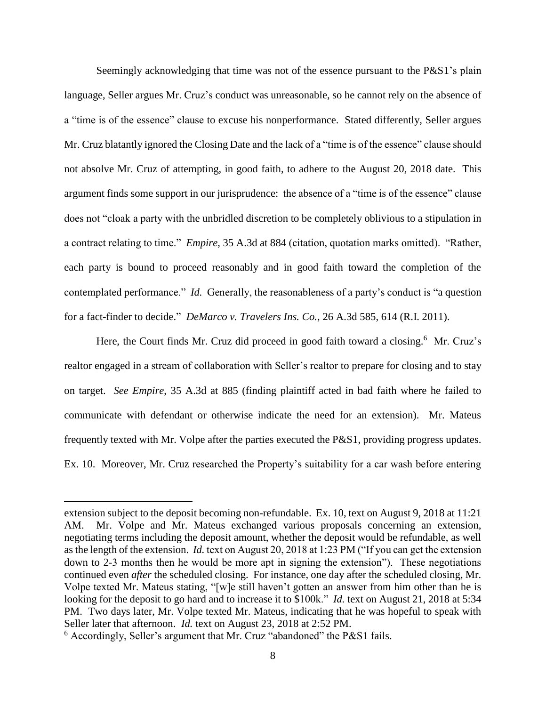Seemingly acknowledging that time was not of the essence pursuant to the P&S1's plain language, Seller argues Mr. Cruz's conduct was unreasonable, so he cannot rely on the absence of a "time is of the essence" clause to excuse his nonperformance. Stated differently, Seller argues Mr. Cruz blatantly ignored the Closing Date and the lack of a "time is of the essence" clause should not absolve Mr. Cruz of attempting, in good faith, to adhere to the August 20, 2018 date. This argument finds some support in our jurisprudence: the absence of a "time is of the essence" clause does not "cloak a party with the unbridled discretion to be completely oblivious to a stipulation in a contract relating to time." *Empire*, 35 A.3d at 884 (citation, quotation marks omitted). "Rather, each party is bound to proceed reasonably and in good faith toward the completion of the contemplated performance." *Id.* Generally, the reasonableness of a party's conduct is "a question for a fact-finder to decide." *DeMarco v. Travelers Ins. Co.*, 26 A.3d 585, 614 (R.I. 2011).

Here, the Court finds Mr. Cruz did proceed in good faith toward a closing.<sup>6</sup> Mr. Cruz's realtor engaged in a stream of collaboration with Seller's realtor to prepare for closing and to stay on target. *See Empire*, 35 A.3d at 885 (finding plaintiff acted in bad faith where he failed to communicate with defendant or otherwise indicate the need for an extension). Mr. Mateus frequently texted with Mr. Volpe after the parties executed the P&S1, providing progress updates. Ex. 10. Moreover, Mr. Cruz researched the Property's suitability for a car wash before entering

extension subject to the deposit becoming non-refundable. Ex. 10, text on August 9, 2018 at 11:21 AM. Mr. Volpe and Mr. Mateus exchanged various proposals concerning an extension, negotiating terms including the deposit amount, whether the deposit would be refundable, as well as the length of the extension. *Id.* text on August 20, 2018 at 1:23 PM ("If you can get the extension down to 2-3 months then he would be more apt in signing the extension"). These negotiations continued even *after* the scheduled closing. For instance, one day after the scheduled closing, Mr. Volpe texted Mr. Mateus stating, "[w]e still haven't gotten an answer from him other than he is looking for the deposit to go hard and to increase it to \$100k." *Id.* text on August 21, 2018 at 5:34 PM. Two days later, Mr. Volpe texted Mr. Mateus, indicating that he was hopeful to speak with Seller later that afternoon. *Id.* text on August 23, 2018 at 2:52 PM.

<sup>6</sup> Accordingly, Seller's argument that Mr. Cruz "abandoned" the P&S1 fails.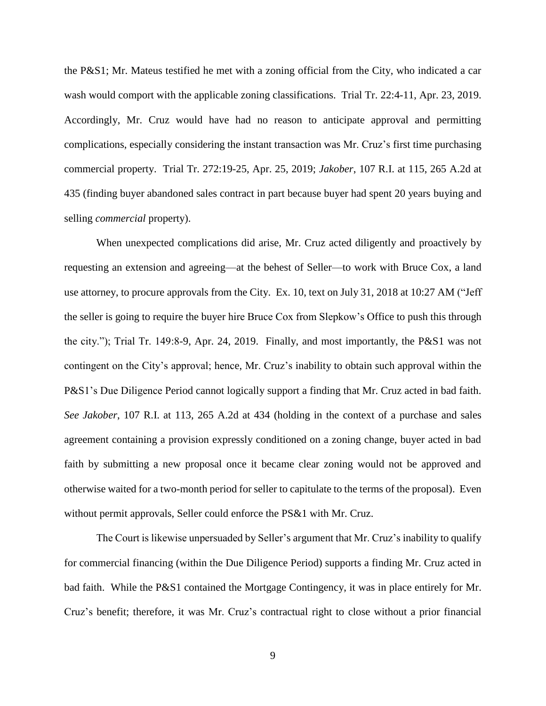the P&S1; Mr. Mateus testified he met with a zoning official from the City, who indicated a car wash would comport with the applicable zoning classifications. Trial Tr. 22:4-11, Apr. 23, 2019. Accordingly, Mr. Cruz would have had no reason to anticipate approval and permitting complications, especially considering the instant transaction was Mr. Cruz's first time purchasing commercial property. Trial Tr. 272:19-25, Apr. 25, 2019; *Jakober*, 107 R.I. at 115, 265 A.2d at 435 (finding buyer abandoned sales contract in part because buyer had spent 20 years buying and selling *commercial* property).

When unexpected complications did arise, Mr. Cruz acted diligently and proactively by requesting an extension and agreeing—at the behest of Seller—to work with Bruce Cox, a land use attorney, to procure approvals from the City. Ex. 10, text on July 31, 2018 at 10:27 AM ("Jeff the seller is going to require the buyer hire Bruce Cox from Slepkow's Office to push this through the city."); Trial Tr. 149:8-9, Apr. 24, 2019. Finally, and most importantly, the P&S1 was not contingent on the City's approval; hence, Mr. Cruz's inability to obtain such approval within the P&S1's Due Diligence Period cannot logically support a finding that Mr. Cruz acted in bad faith. *See Jakober*, 107 R.I. at 113, 265 A.2d at 434 (holding in the context of a purchase and sales agreement containing a provision expressly conditioned on a zoning change, buyer acted in bad faith by submitting a new proposal once it became clear zoning would not be approved and otherwise waited for a two-month period for seller to capitulate to the terms of the proposal). Even without permit approvals, Seller could enforce the PS&1 with Mr. Cruz.

The Court is likewise unpersuaded by Seller's argument that Mr. Cruz's inability to qualify for commercial financing (within the Due Diligence Period) supports a finding Mr. Cruz acted in bad faith. While the P&S1 contained the Mortgage Contingency, it was in place entirely for Mr. Cruz's benefit; therefore, it was Mr. Cruz's contractual right to close without a prior financial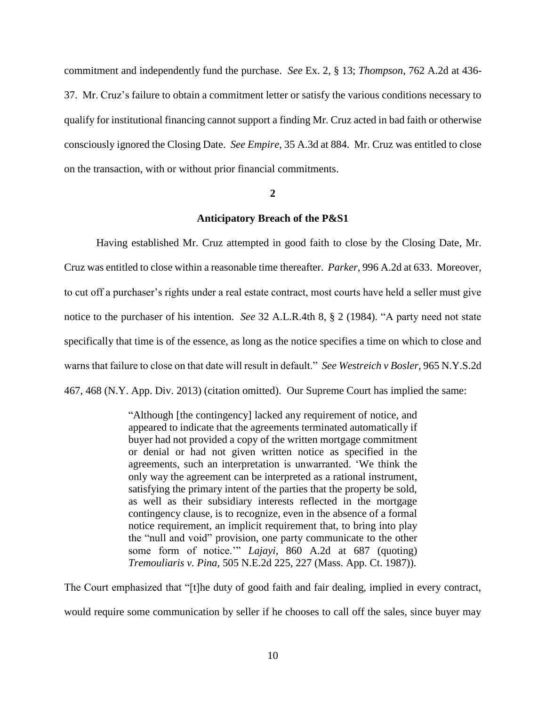commitment and independently fund the purchase. *See* Ex. 2, § 13; *Thompson*, 762 A.2d at 436- 37. Mr. Cruz's failure to obtain a commitment letter or satisfy the various conditions necessary to qualify for institutional financing cannot support a finding Mr. Cruz acted in bad faith or otherwise consciously ignored the Closing Date. *See Empire*, 35 A.3d at 884. Mr. Cruz was entitled to close on the transaction, with or without prior financial commitments.

#### **2**

## **Anticipatory Breach of the P&S1**

Having established Mr. Cruz attempted in good faith to close by the Closing Date, Mr. Cruz was entitled to close within a reasonable time thereafter. *Parker,* 996 A.2d at 633. Moreover, to cut off a purchaser's rights under a real estate contract, most courts have held a seller must give notice to the purchaser of his intention. *See* 32 A.L.R.4th 8, § 2 (1984). "A party need not state specifically that time is of the essence, as long as the notice specifies a time on which to close and warns that failure to close on that date will result in default." *See Westreich v Bosler*, 965 N.Y.S.2d 467, 468 (N.Y. App. Div. 2013) (citation omitted). Our Supreme Court has implied the same:

> "Although [the contingency] lacked any requirement of notice, and appeared to indicate that the agreements terminated automatically if buyer had not provided a copy of the written mortgage commitment or denial or had not given written notice as specified in the agreements, such an interpretation is unwarranted. 'We think the only way the agreement can be interpreted as a rational instrument, satisfying the primary intent of the parties that the property be sold, as well as their subsidiary interests reflected in the mortgage contingency clause, is to recognize, even in the absence of a formal notice requirement, an implicit requirement that, to bring into play the "null and void" provision, one party communicate to the other some form of notice.'" *Lajayi*, 860 A.2d at 687 (quoting) *Tremouliaris v. Pina,* 505 N.E.2d 225, 227 (Mass. App. Ct. 1987)).

The Court emphasized that "[t]he duty of good faith and fair dealing, implied in every contract, would require some communication by seller if he chooses to call off the sales, since buyer may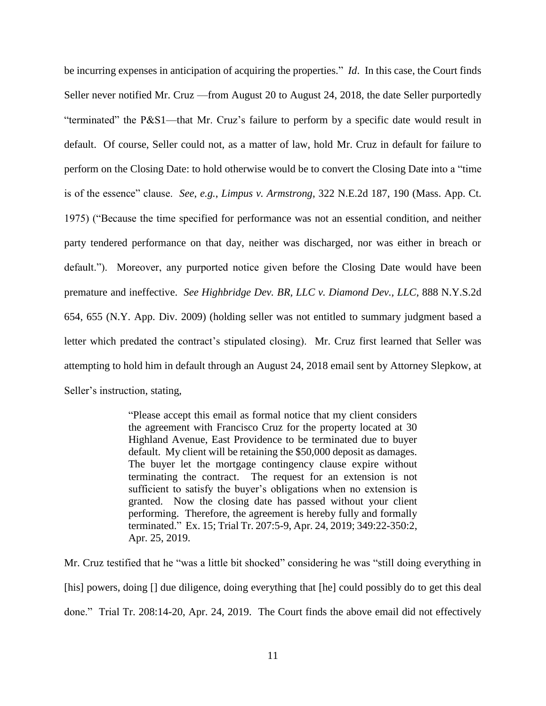be incurring expenses in anticipation of acquiring the properties." *Id*. In this case, the Court finds Seller never notified Mr. Cruz —from August 20 to August 24, 2018, the date Seller purportedly "terminated" the P&S1—that Mr. Cruz's failure to perform by a specific date would result in default. Of course, Seller could not, as a matter of law, hold Mr. Cruz in default for failure to perform on the Closing Date: to hold otherwise would be to convert the Closing Date into a "time is of the essence" clause. *See*, *e.g.*, *Limpus v. Armstrong*, 322 N.E.2d 187, 190 (Mass. App. Ct. 1975) ("Because the time specified for performance was not an essential condition, and neither party tendered performance on that day, neither was discharged, nor was either in breach or default."). Moreover, any purported notice given before the Closing Date would have been premature and ineffective. *See Highbridge Dev. BR, LLC v. Diamond Dev., LLC*, 888 N.Y.S.2d 654, 655 (N.Y. App. Div. 2009) (holding seller was not entitled to summary judgment based a letter which predated the contract's stipulated closing). Mr. Cruz first learned that Seller was attempting to hold him in default through an August 24, 2018 email sent by Attorney Slepkow, at Seller's instruction, stating,

> "Please accept this email as formal notice that my client considers the agreement with Francisco Cruz for the property located at 30 Highland Avenue, East Providence to be terminated due to buyer default. My client will be retaining the \$50,000 deposit as damages. The buyer let the mortgage contingency clause expire without terminating the contract. The request for an extension is not sufficient to satisfy the buyer's obligations when no extension is granted. Now the closing date has passed without your client performing. Therefore, the agreement is hereby fully and formally terminated." Ex. 15; Trial Tr. 207:5-9, Apr. 24, 2019; 349:22-350:2, Apr. 25, 2019.

Mr. Cruz testified that he "was a little bit shocked" considering he was "still doing everything in [his] powers, doing [] due diligence, doing everything that [he] could possibly do to get this deal done." Trial Tr. 208:14-20, Apr. 24, 2019. The Court finds the above email did not effectively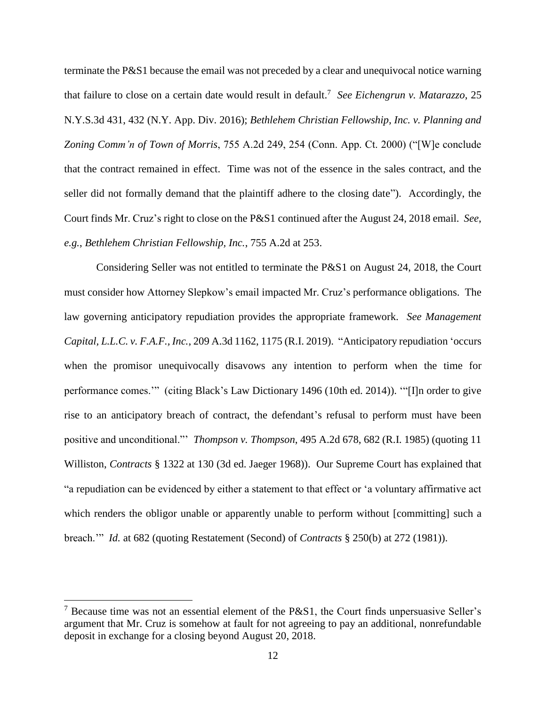terminate the P&S1 because the email was not preceded by a clear and unequivocal notice warning that failure to close on a certain date would result in default.<sup>7</sup> See Eichengrun v. Matarazzo, 25 N.Y.S.3d 431, 432 (N.Y. App. Div. 2016); *Bethlehem Christian Fellowship, Inc. v. Planning and Zoning Comm'n of Town of Morris*, 755 A.2d 249, 254 (Conn. App. Ct. 2000) ("[W]e conclude that the contract remained in effect. Time was not of the essence in the sales contract, and the seller did not formally demand that the plaintiff adhere to the closing date"). Accordingly, the Court finds Mr. Cruz's right to close on the P&S1 continued after the August 24, 2018 email. *See*, *e.g.*, *Bethlehem Christian Fellowship, Inc.*, 755 A.2d at 253.

Considering Seller was not entitled to terminate the P&S1 on August 24, 2018, the Court must consider how Attorney Slepkow's email impacted Mr. Cruz's performance obligations. The law governing anticipatory repudiation provides the appropriate framework. *See Management Capital, L.L.C. v. F.A.F., Inc.*, 209 A.3d 1162, 1175 (R.I. 2019). "Anticipatory repudiation 'occurs when the promisor unequivocally disavows any intention to perform when the time for performance comes.'" (citing Black's Law Dictionary 1496 (10th ed. 2014)). '"[I]n order to give rise to an anticipatory breach of contract, the defendant's refusal to perform must have been positive and unconditional."' *Thompson v. Thompson*, 495 A.2d 678, 682 (R.I. 1985) (quoting 11 Williston, *Contracts* § 1322 at 130 (3d ed. Jaeger 1968)). Our Supreme Court has explained that "a repudiation can be evidenced by either a statement to that effect or 'a voluntary affirmative act which renders the obligor unable or apparently unable to perform without [committing] such a breach.'" *Id.* at 682 (quoting Restatement (Second) of *Contracts* § 250(b) at 272 (1981)).

<sup>&</sup>lt;sup>7</sup> Because time was not an essential element of the P&S1, the Court finds unpersuasive Seller's argument that Mr. Cruz is somehow at fault for not agreeing to pay an additional, nonrefundable deposit in exchange for a closing beyond August 20, 2018.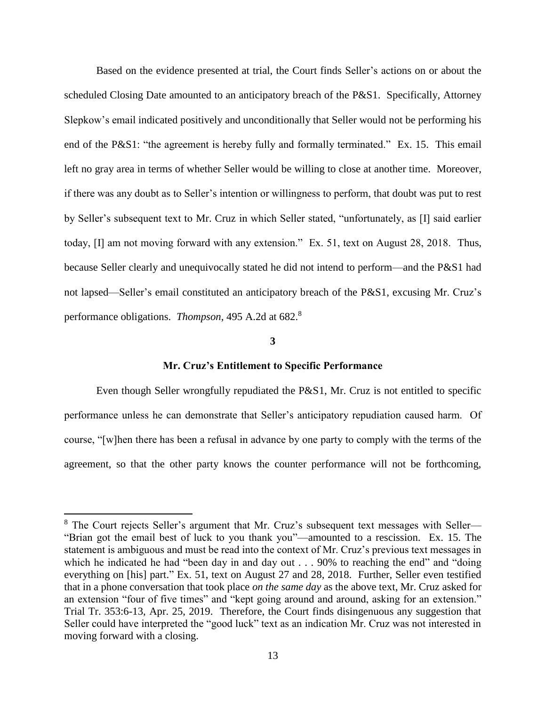Based on the evidence presented at trial, the Court finds Seller's actions on or about the scheduled Closing Date amounted to an anticipatory breach of the P&S1. Specifically, Attorney Slepkow's email indicated positively and unconditionally that Seller would not be performing his end of the P&S1: "the agreement is hereby fully and formally terminated." Ex. 15. This email left no gray area in terms of whether Seller would be willing to close at another time. Moreover, if there was any doubt as to Seller's intention or willingness to perform, that doubt was put to rest by Seller's subsequent text to Mr. Cruz in which Seller stated, "unfortunately, as [I] said earlier today, [I] am not moving forward with any extension." Ex. 51, text on August 28, 2018. Thus, because Seller clearly and unequivocally stated he did not intend to perform—and the P&S1 had not lapsed—Seller's email constituted an anticipatory breach of the P&S1, excusing Mr. Cruz's performance obligations. *Thompson*, 495 A.2d at 682.<sup>8</sup>

#### **3**

### **Mr. Cruz's Entitlement to Specific Performance**

Even though Seller wrongfully repudiated the P&S1, Mr. Cruz is not entitled to specific performance unless he can demonstrate that Seller's anticipatory repudiation caused harm. Of course, "[w]hen there has been a refusal in advance by one party to comply with the terms of the agreement, so that the other party knows the counter performance will not be forthcoming,

<sup>&</sup>lt;sup>8</sup> The Court rejects Seller's argument that Mr. Cruz's subsequent text messages with Seller— "Brian got the email best of luck to you thank you"—amounted to a rescission. Ex. 15. The statement is ambiguous and must be read into the context of Mr. Cruz's previous text messages in which he indicated he had "been day in and day out . . . 90% to reaching the end" and "doing everything on [his] part." Ex. 51, text on August 27 and 28, 2018. Further, Seller even testified that in a phone conversation that took place *on the same day* as the above text, Mr. Cruz asked for an extension "four of five times" and "kept going around and around, asking for an extension." Trial Tr. 353:6-13, Apr. 25, 2019. Therefore, the Court finds disingenuous any suggestion that Seller could have interpreted the "good luck" text as an indication Mr. Cruz was not interested in moving forward with a closing.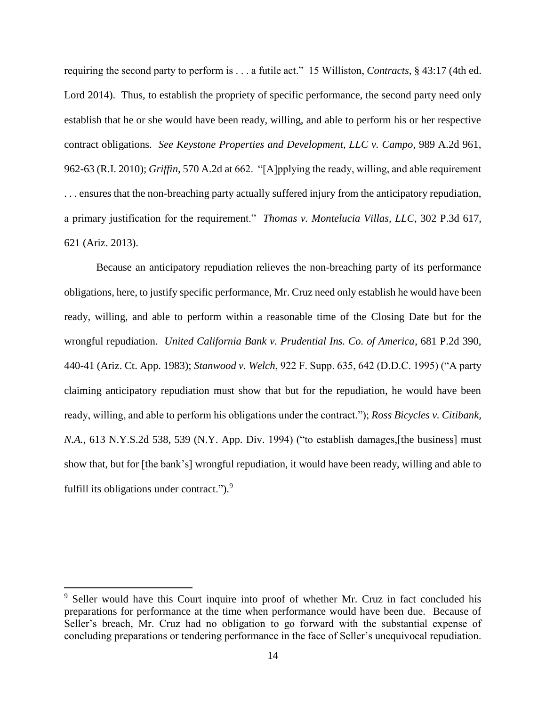requiring the second party to perform is . . . a futile act." 15 Williston, *Contracts*, § 43:17 (4th ed. Lord 2014). Thus, to establish the propriety of specific performance, the second party need only establish that he or she would have been ready, willing, and able to perform his or her respective contract obligations. *See Keystone Properties and Development, LLC v. Campo*, 989 A.2d 961, 962-63 (R.I. 2010); *Griffin*, 570 A.2d at 662. "[A]pplying the ready, willing, and able requirement . . . ensures that the non-breaching party actually suffered injury from the anticipatory repudiation, a primary justification for the requirement." *Thomas v. Montelucia Villas, LLC*, 302 P.3d 617, 621 (Ariz. 2013).

Because an anticipatory repudiation relieves the non-breaching party of its performance obligations, here, to justify specific performance, Mr. Cruz need only establish he would have been ready, willing, and able to perform within a reasonable time of the Closing Date but for the wrongful repudiation. *United California Bank v. Prudential Ins. Co. of America*, 681 P.2d 390, 440-41 (Ariz. Ct. App. 1983); *Stanwood v. Welch*, 922 F. Supp. 635, 642 (D.D.C. 1995) ("A party claiming anticipatory repudiation must show that but for the repudiation, he would have been ready, willing, and able to perform his obligations under the contract."); *Ross Bicycles v. Citibank, N.A.*, 613 N.Y.S.2d 538, 539 (N.Y. App. Div. 1994) ("to establish damages,[the business] must show that, but for [the bank's] wrongful repudiation, it would have been ready, willing and able to fulfill its obligations under contract."). $9$ 

<sup>&</sup>lt;sup>9</sup> Seller would have this Court inquire into proof of whether Mr. Cruz in fact concluded his preparations for performance at the time when performance would have been due. Because of Seller's breach, Mr. Cruz had no obligation to go forward with the substantial expense of concluding preparations or tendering performance in the face of Seller's unequivocal repudiation.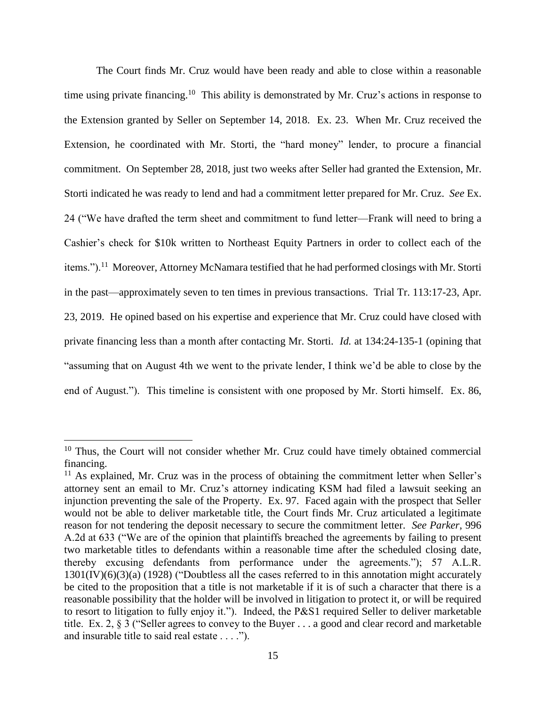The Court finds Mr. Cruz would have been ready and able to close within a reasonable time using private financing.<sup>10</sup> This ability is demonstrated by Mr. Cruz's actions in response to the Extension granted by Seller on September 14, 2018. Ex. 23. When Mr. Cruz received the Extension, he coordinated with Mr. Storti, the "hard money" lender, to procure a financial commitment. On September 28, 2018, just two weeks after Seller had granted the Extension, Mr. Storti indicated he was ready to lend and had a commitment letter prepared for Mr. Cruz. *See* Ex. 24 ("We have drafted the term sheet and commitment to fund letter—Frank will need to bring a Cashier's check for \$10k written to Northeast Equity Partners in order to collect each of the items.").<sup>11</sup> Moreover, Attorney McNamara testified that he had performed closings with Mr. Storti in the past—approximately seven to ten times in previous transactions. Trial Tr. 113:17-23, Apr. 23, 2019. He opined based on his expertise and experience that Mr. Cruz could have closed with private financing less than a month after contacting Mr. Storti. *Id.* at 134:24-135-1 (opining that "assuming that on August 4th we went to the private lender, I think we'd be able to close by the end of August."). This timeline is consistent with one proposed by Mr. Storti himself. Ex. 86,

<sup>&</sup>lt;sup>10</sup> Thus, the Court will not consider whether Mr. Cruz could have timely obtained commercial financing.

 $11$  As explained, Mr. Cruz was in the process of obtaining the commitment letter when Seller's attorney sent an email to Mr. Cruz's attorney indicating KSM had filed a lawsuit seeking an injunction preventing the sale of the Property. Ex. 97. Faced again with the prospect that Seller would not be able to deliver marketable title, the Court finds Mr. Cruz articulated a legitimate reason for not tendering the deposit necessary to secure the commitment letter. *See Parker*, 996 A.2d at 633 ("We are of the opinion that plaintiffs breached the agreements by failing to present two marketable titles to defendants within a reasonable time after the scheduled closing date, thereby excusing defendants from performance under the agreements."); 57 A.L.R. 1301(IV)(6)(3)(a) (1928) ("Doubtless all the cases referred to in this annotation might accurately be cited to the proposition that a title is not marketable if it is of such a character that there is a reasonable possibility that the holder will be involved in litigation to protect it, or will be required to resort to litigation to fully enjoy it."). Indeed, the P&S1 required Seller to deliver marketable title. Ex. 2, § 3 ("Seller agrees to convey to the Buyer . . . a good and clear record and marketable and insurable title to said real estate . . . .").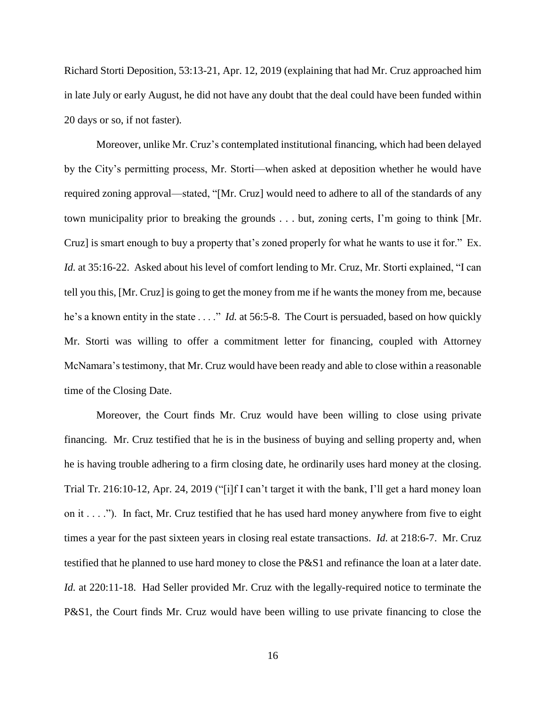Richard Storti Deposition, 53:13-21, Apr. 12, 2019 (explaining that had Mr. Cruz approached him in late July or early August, he did not have any doubt that the deal could have been funded within 20 days or so, if not faster).

Moreover, unlike Mr. Cruz's contemplated institutional financing, which had been delayed by the City's permitting process, Mr. Storti—when asked at deposition whether he would have required zoning approval—stated, "[Mr. Cruz] would need to adhere to all of the standards of any town municipality prior to breaking the grounds . . . but, zoning certs, I'm going to think [Mr. Cruz] is smart enough to buy a property that's zoned properly for what he wants to use it for." Ex. *Id.* at 35:16-22. Asked about his level of comfort lending to Mr. Cruz, Mr. Storti explained, "I can tell you this, [Mr. Cruz] is going to get the money from me if he wants the money from me, because he's a known entity in the state . . . ." *Id.* at 56:5-8. The Court is persuaded, based on how quickly Mr. Storti was willing to offer a commitment letter for financing, coupled with Attorney McNamara's testimony, that Mr. Cruz would have been ready and able to close within a reasonable time of the Closing Date.

Moreover, the Court finds Mr. Cruz would have been willing to close using private financing. Mr. Cruz testified that he is in the business of buying and selling property and, when he is having trouble adhering to a firm closing date, he ordinarily uses hard money at the closing. Trial Tr. 216:10-12, Apr. 24, 2019 ("[i]f I can't target it with the bank, I'll get a hard money loan on it  $\dots$  ."). In fact, Mr. Cruz testified that he has used hard money anywhere from five to eight times a year for the past sixteen years in closing real estate transactions. *Id.* at 218:6-7. Mr. Cruz testified that he planned to use hard money to close the P&S1 and refinance the loan at a later date. *Id.* at 220:11-18. Had Seller provided Mr. Cruz with the legally-required notice to terminate the P&S1, the Court finds Mr. Cruz would have been willing to use private financing to close the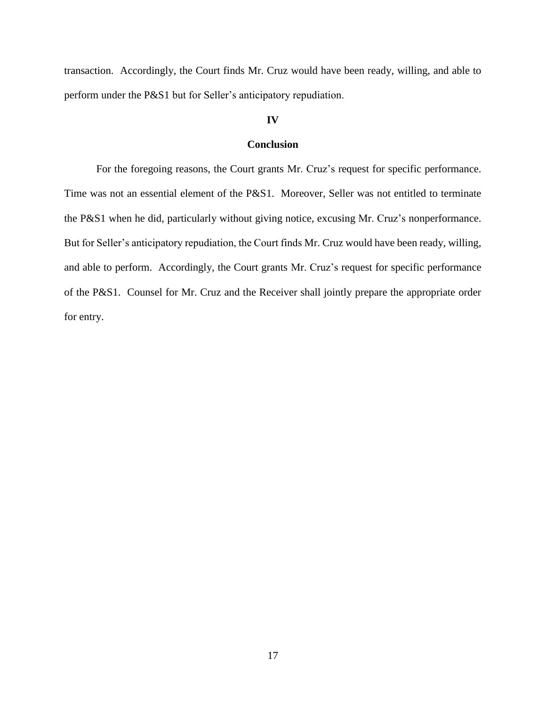transaction. Accordingly, the Court finds Mr. Cruz would have been ready, willing, and able to perform under the P&S1 but for Seller's anticipatory repudiation.

### **IV**

## **Conclusion**

For the foregoing reasons, the Court grants Mr. Cruz's request for specific performance. Time was not an essential element of the P&S1. Moreover, Seller was not entitled to terminate the P&S1 when he did, particularly without giving notice, excusing Mr. Cruz's nonperformance. But for Seller's anticipatory repudiation, the Court finds Mr. Cruz would have been ready, willing, and able to perform. Accordingly, the Court grants Mr. Cruz's request for specific performance of the P&S1. Counsel for Mr. Cruz and the Receiver shall jointly prepare the appropriate order for entry.